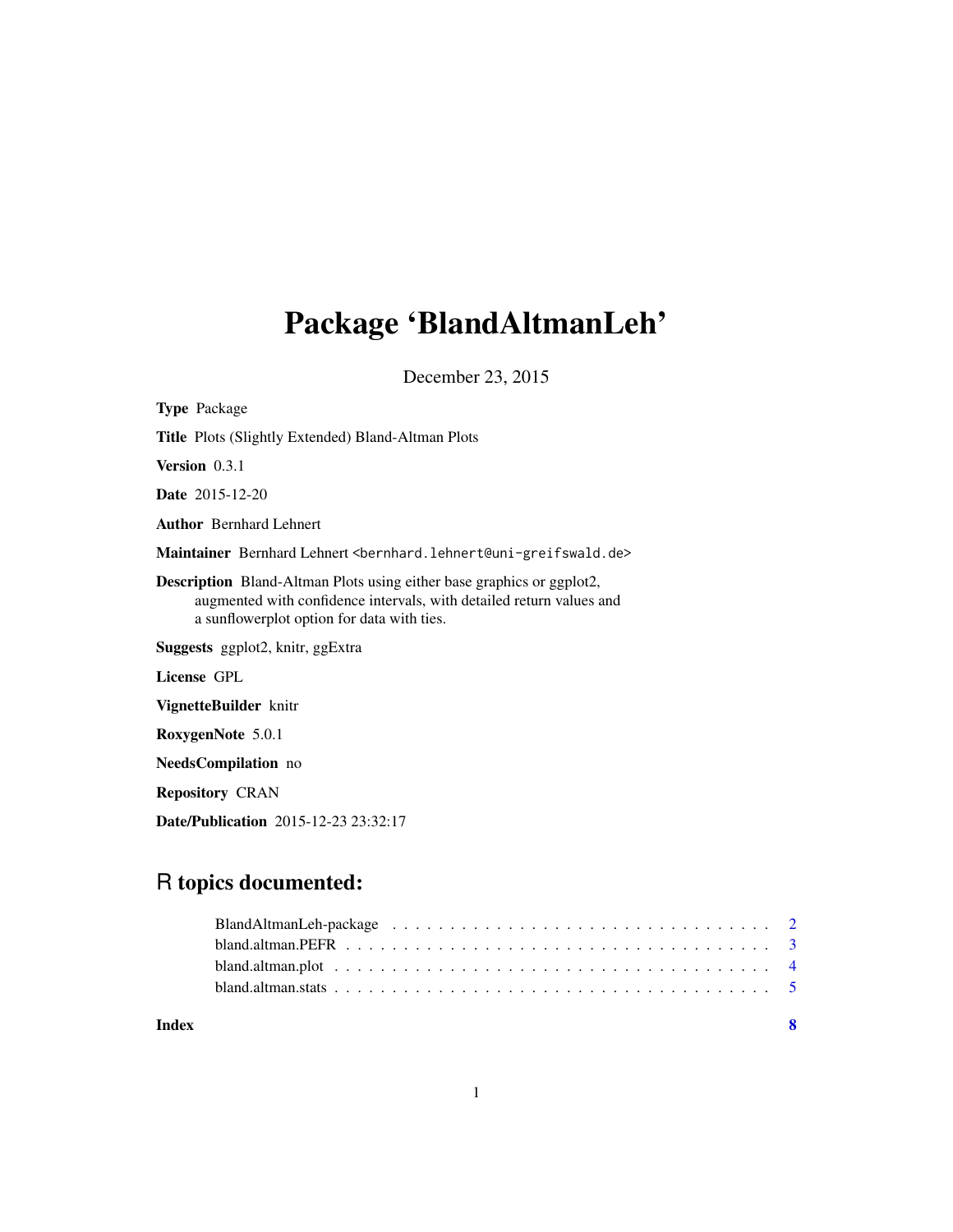# Package 'BlandAltmanLeh'

December 23, 2015

| <b>Type Package</b>                                                                                                                                                                                |
|----------------------------------------------------------------------------------------------------------------------------------------------------------------------------------------------------|
| <b>Title</b> Plots (Slightly Extended) Bland-Altman Plots                                                                                                                                          |
| <b>Version</b> $0.3.1$                                                                                                                                                                             |
| <b>Date</b> 2015-12-20                                                                                                                                                                             |
| <b>Author</b> Bernhard Lehnert                                                                                                                                                                     |
| Maintainer Bernhard Lehnert <bernhard.lehnert@uni-greifswald.de></bernhard.lehnert@uni-greifswald.de>                                                                                              |
| <b>Description</b> Bland-Altman Plots using either base graphics or ggplot2,<br>augmented with confidence intervals, with detailed return values and<br>a sunflowerplot option for data with ties. |
| Suggests ggplot2, knitr, ggExtra                                                                                                                                                                   |
| License GPL                                                                                                                                                                                        |
| VignetteBuilder knitr                                                                                                                                                                              |
| RoxygenNote 5.0.1                                                                                                                                                                                  |
| <b>NeedsCompilation</b> no                                                                                                                                                                         |
| <b>Repository CRAN</b>                                                                                                                                                                             |
|                                                                                                                                                                                                    |

Date/Publication 2015-12-23 23:32:17

# R topics documented:

|                                                                                                                | - 8 |
|----------------------------------------------------------------------------------------------------------------|-----|
|                                                                                                                |     |
| bland.altman.plot $\ldots \ldots \ldots \ldots \ldots \ldots \ldots \ldots \ldots \ldots \ldots \ldots \ldots$ |     |
|                                                                                                                |     |
|                                                                                                                |     |
|                                                                                                                |     |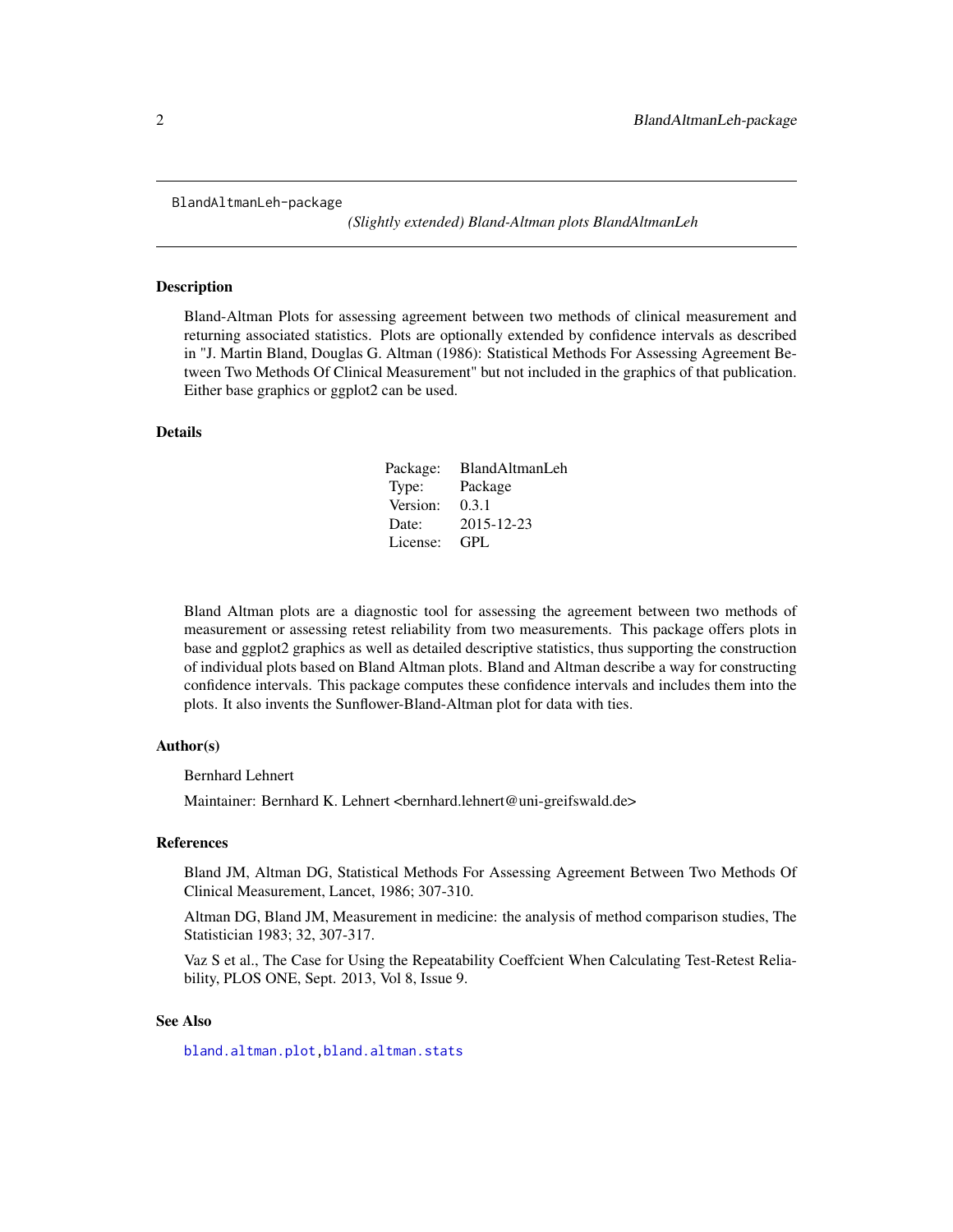<span id="page-1-0"></span>BlandAltmanLeh-package

*(Slightly extended) Bland-Altman plots BlandAltmanLeh*

#### Description

Bland-Altman Plots for assessing agreement between two methods of clinical measurement and returning associated statistics. Plots are optionally extended by confidence intervals as described in "J. Martin Bland, Douglas G. Altman (1986): Statistical Methods For Assessing Agreement Between Two Methods Of Clinical Measurement" but not included in the graphics of that publication. Either base graphics or ggplot2 can be used.

### Details

| Package: | BlandAltmanLeh |
|----------|----------------|
| Type:    | Package        |
| Version: | 0.3.1          |
| Date:    | 2015-12-23     |
| License: | <b>GPL</b>     |

Bland Altman plots are a diagnostic tool for assessing the agreement between two methods of measurement or assessing retest reliability from two measurements. This package offers plots in base and ggplot2 graphics as well as detailed descriptive statistics, thus supporting the construction of individual plots based on Bland Altman plots. Bland and Altman describe a way for constructing confidence intervals. This package computes these confidence intervals and includes them into the plots. It also invents the Sunflower-Bland-Altman plot for data with ties.

#### Author(s)

Bernhard Lehnert

Maintainer: Bernhard K. Lehnert <bernhard.lehnert@uni-greifswald.de>

#### References

Bland JM, Altman DG, Statistical Methods For Assessing Agreement Between Two Methods Of Clinical Measurement, Lancet, 1986; 307-310.

Altman DG, Bland JM, Measurement in medicine: the analysis of method comparison studies, The Statistician 1983; 32, 307-317.

Vaz S et al., The Case for Using the Repeatability Coeffcient When Calculating Test-Retest Reliability, PLOS ONE, Sept. 2013, Vol 8, Issue 9.

#### See Also

[bland.altman.plot](#page-3-1)[,bland.altman.stats](#page-4-1)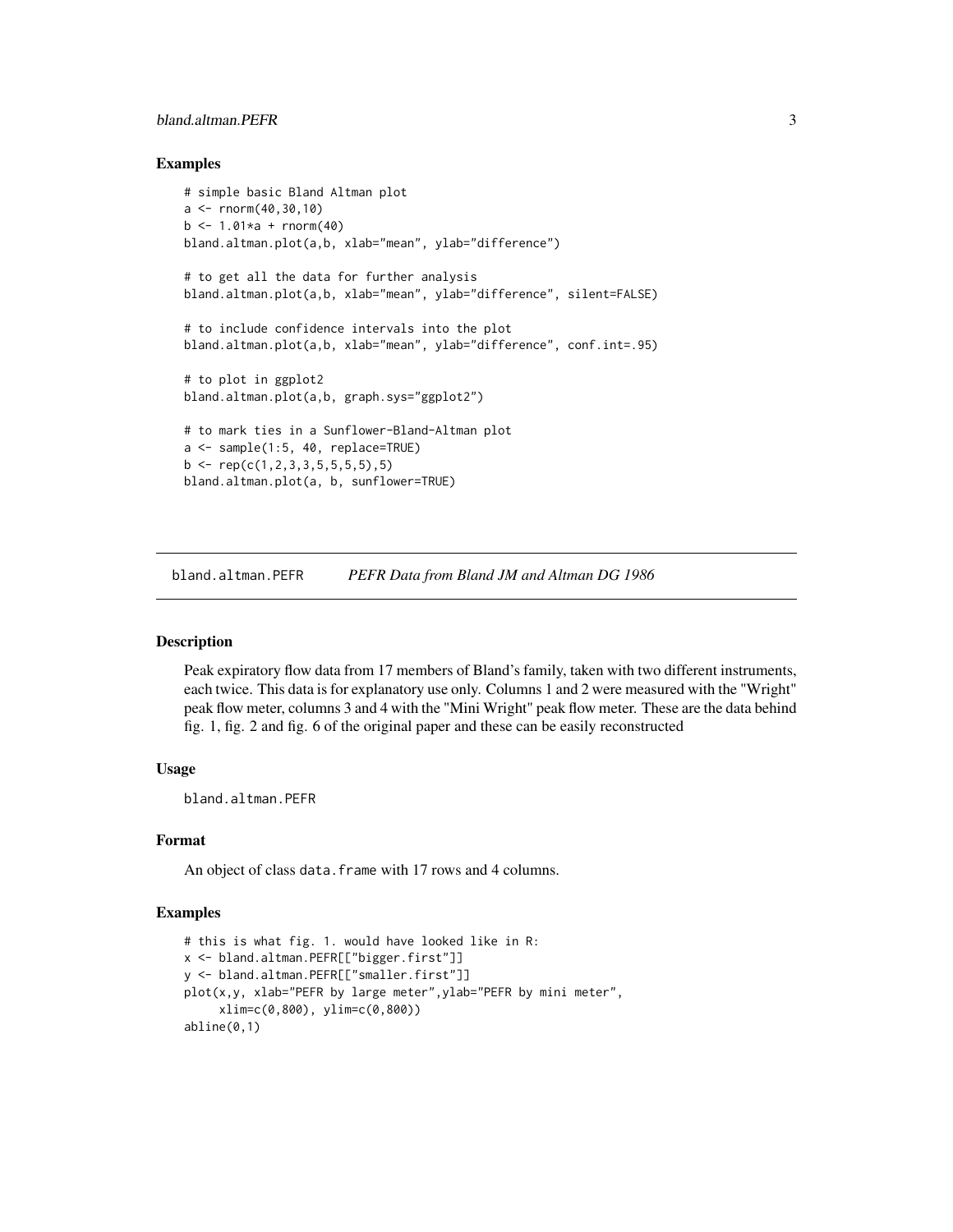# <span id="page-2-0"></span>bland.altman.PEFR 3

#### Examples

```
# simple basic Bland Altman plot
a \le - rnorm(40, 30, 10)b \le -1.01 \times a + \text{rnorm}(40)bland.altman.plot(a,b, xlab="mean", ylab="difference")
# to get all the data for further analysis
bland.altman.plot(a,b, xlab="mean", ylab="difference", silent=FALSE)
# to include confidence intervals into the plot
bland.altman.plot(a,b, xlab="mean", ylab="difference", conf.int=.95)
# to plot in ggplot2
bland.altman.plot(a,b, graph.sys="ggplot2")
# to mark ties in a Sunflower-Bland-Altman plot
a <- sample(1:5, 40, replace=TRUE)
b \leftarrow \text{rep}(c(1, 2, 3, 3, 5, 5, 5, 5), 5)bland.altman.plot(a, b, sunflower=TRUE)
```
bland.altman.PEFR *PEFR Data from Bland JM and Altman DG 1986*

# Description

Peak expiratory flow data from 17 members of Bland's family, taken with two different instruments, each twice. This data is for explanatory use only. Columns 1 and 2 were measured with the "Wright" peak flow meter, columns 3 and 4 with the "Mini Wright" peak flow meter. These are the data behind fig. 1, fig. 2 and fig. 6 of the original paper and these can be easily reconstructed

# Usage

bland.altman.PEFR

#### Format

An object of class data. frame with 17 rows and 4 columns.

#### Examples

```
# this is what fig. 1. would have looked like in R:
x <- bland.altman.PEFR[["bigger.first"]]
y <- bland.altman.PEFR[["smaller.first"]]
plot(x,y, xlab="PEFR by large meter",ylab="PEFR by mini meter",
     xlim=c(0,800), ylim=c(0,800))
abline(0,1)
```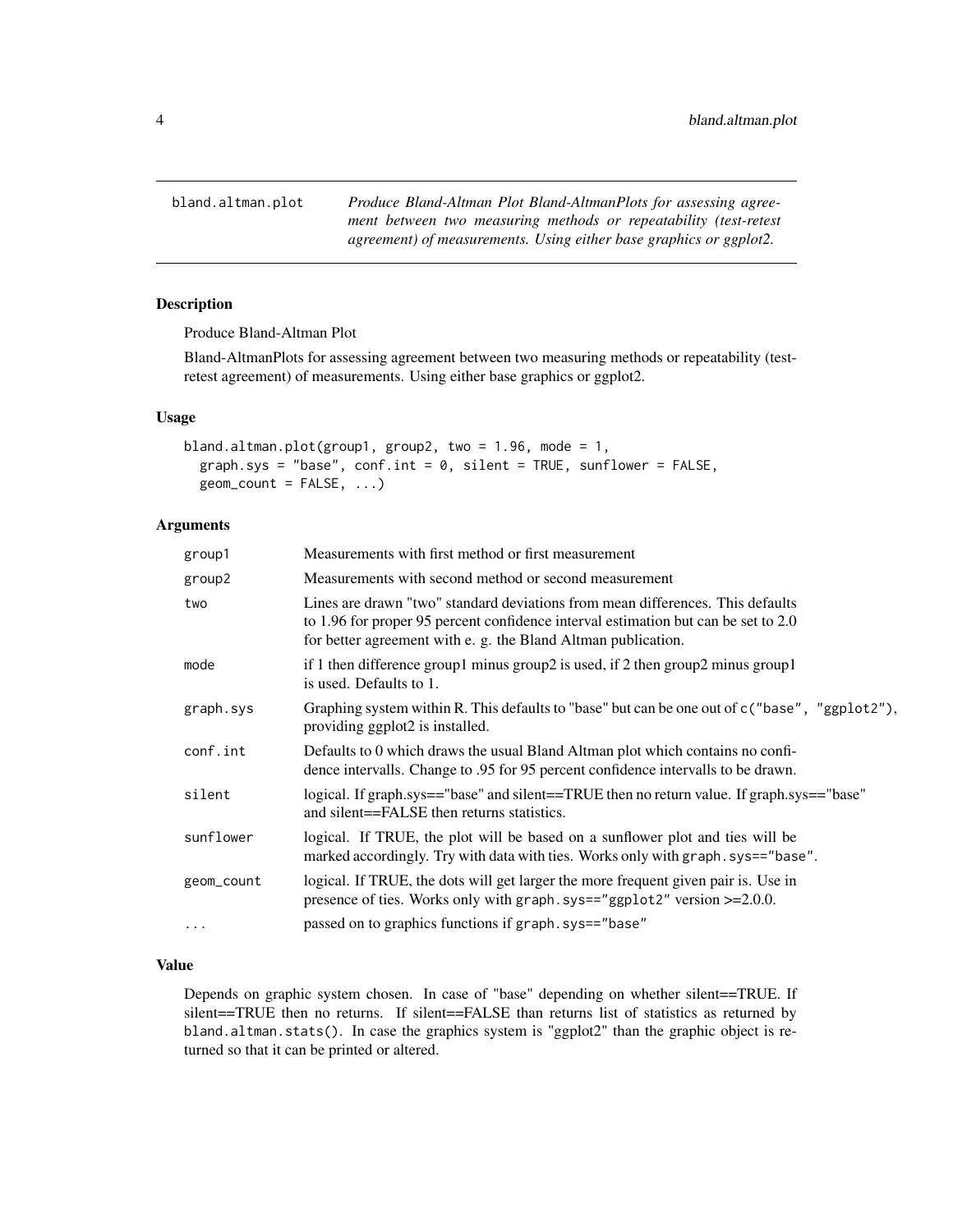<span id="page-3-1"></span><span id="page-3-0"></span>bland.altman.plot *Produce Bland-Altman Plot Bland-AltmanPlots for assessing agreement between two measuring methods or repeatability (test-retest agreement) of measurements. Using either base graphics or ggplot2.*

### Description

Produce Bland-Altman Plot

Bland-AltmanPlots for assessing agreement between two measuring methods or repeatability (testretest agreement) of measurements. Using either base graphics or ggplot2.

# Usage

```
bland.altman.plot(group1, group2, two = 1.96, mode = 1,
 graph.sys = "base", conf.int = 0, silent = TRUE, sunflower = FALSE,
 geom\_count = FALSE, ...)
```
#### Arguments

| group1     | Measurements with first method or first measurement                                                                                                                                                                                   |
|------------|---------------------------------------------------------------------------------------------------------------------------------------------------------------------------------------------------------------------------------------|
| group2     | Measurements with second method or second measurement                                                                                                                                                                                 |
| two        | Lines are drawn "two" standard deviations from mean differences. This defaults<br>to 1.96 for proper 95 percent confidence interval estimation but can be set to 2.0<br>for better agreement with e. g. the Bland Altman publication. |
| mode       | if 1 then difference group1 minus group2 is used, if 2 then group2 minus group1<br>is used. Defaults to 1.                                                                                                                            |
| graph.sys  | Graphing system within R. This defaults to "base" but can be one out of c ("base", "ggplot2"),<br>providing ggplot2 is installed.                                                                                                     |
| conf.int   | Defaults to 0 which draws the usual Bland Altman plot which contains no confi-<br>dence intervalls. Change to .95 for 95 percent confidence intervalls to be drawn.                                                                   |
| silent     | logical. If graph.sys=="base" and silent==TRUE then no return value. If graph.sys=="base"<br>and silent==FALSE then returns statistics.                                                                                               |
| sunflower  | logical. If TRUE, the plot will be based on a sunflower plot and ties will be<br>marked accordingly. Try with data with ties. Works only with graph.sys=="base".                                                                      |
| geom_count | logical. If TRUE, the dots will get larger the more frequent given pair is. Use in<br>presence of ties. Works only with graph.sys=="ggplot2" version >=2.0.0.                                                                         |
| $\cdots$   | passed on to graphics functions if graph.sys=="base"                                                                                                                                                                                  |
|            |                                                                                                                                                                                                                                       |

#### Value

Depends on graphic system chosen. In case of "base" depending on whether silent==TRUE. If silent==TRUE then no returns. If silent==FALSE than returns list of statistics as returned by bland.altman.stats(). In case the graphics system is "ggplot2" than the graphic object is returned so that it can be printed or altered.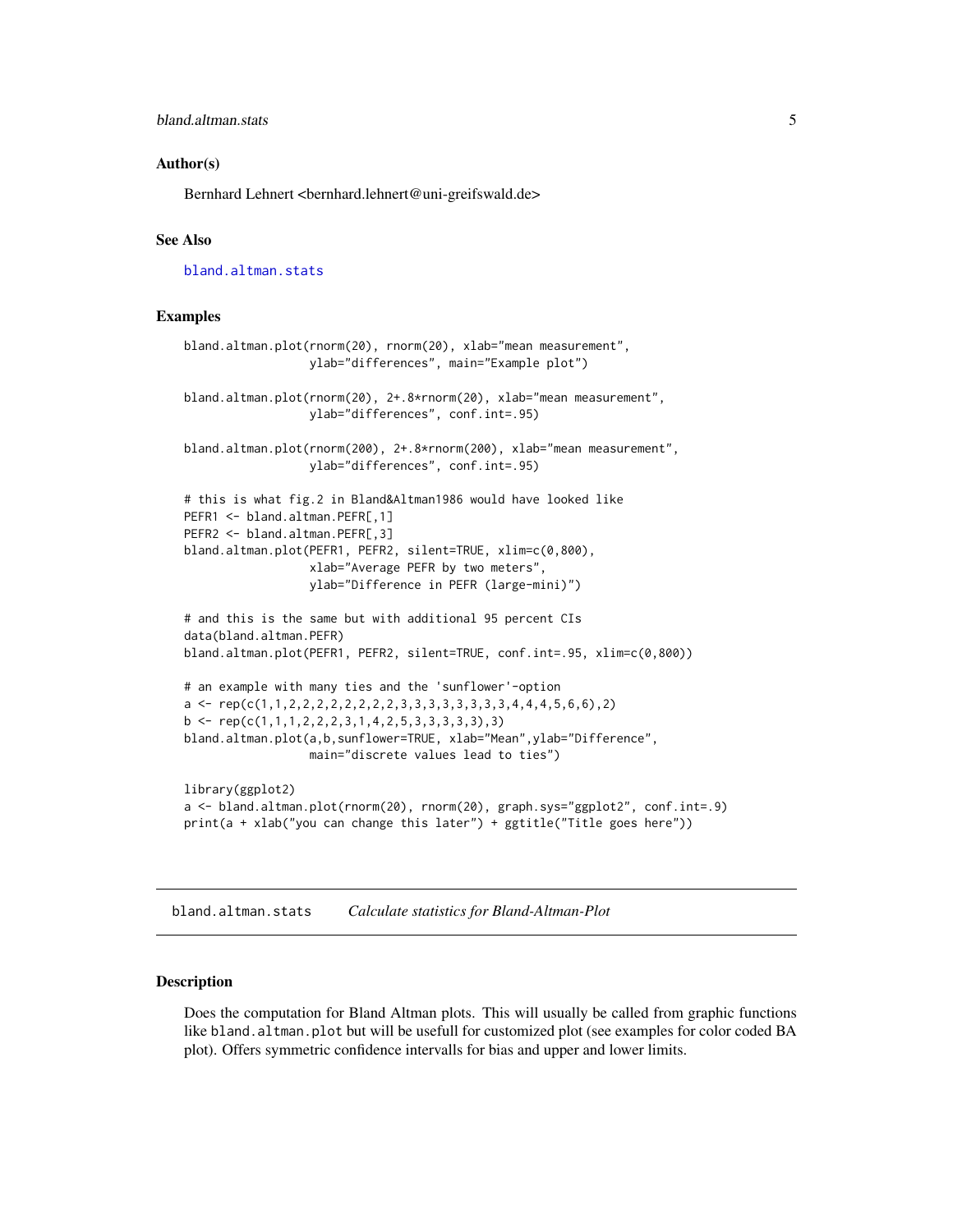#### <span id="page-4-0"></span>Author(s)

Bernhard Lehnert <bernhard.lehnert@uni-greifswald.de>

# See Also

[bland.altman.stats](#page-4-1)

#### Examples

```
bland.altman.plot(rnorm(20), rnorm(20), xlab="mean measurement",
                  ylab="differences", main="Example plot")
bland.altman.plot(rnorm(20), 2+.8*rnorm(20), xlab="mean measurement",
                  ylab="differences", conf.int=.95)
bland.altman.plot(rnorm(200), 2+.8*rnorm(200), xlab="mean measurement",
                  ylab="differences", conf.int=.95)
# this is what fig.2 in Bland&Altman1986 would have looked like
PEFR1 <- bland.altman.PEFR[,1]
PEFR2 <- bland.altman.PEFR[,3]
bland.altman.plot(PEFR1, PEFR2, silent=TRUE, xlim=c(0,800),
                  xlab="Average PEFR by two meters",
                  ylab="Difference in PEFR (large-mini)")
# and this is the same but with additional 95 percent CIs
data(bland.altman.PEFR)
bland.altman.plot(PEFR1, PEFR2, silent=TRUE, conf.int=.95, xlim=c(0,800))
# an example with many ties and the 'sunflower'-option
a \leftarrow \text{rep}(c(1,1,2,2,2,2,2,2,2,2,3,3,3,3,3,3,3,4,4,4,5,6,6), 2)b \leftarrow \text{rep}(c(1,1,1,2,2,2,3,1,4,2,5,3,3,3,3,3),3)bland.altman.plot(a,b,sunflower=TRUE, xlab="Mean",ylab="Difference",
                  main="discrete values lead to ties")
library(ggplot2)
a <- bland.altman.plot(rnorm(20), rnorm(20), graph.sys="ggplot2", conf.int=.9)
print(a + xlab("you can change this later") + ggtitle("Title goes here"))
```
<span id="page-4-1"></span>bland.altman.stats *Calculate statistics for Bland-Altman-Plot*

#### Description

Does the computation for Bland Altman plots. This will usually be called from graphic functions like bland.altman.plot but will be usefull for customized plot (see examples for color coded BA plot). Offers symmetric confidence intervalls for bias and upper and lower limits.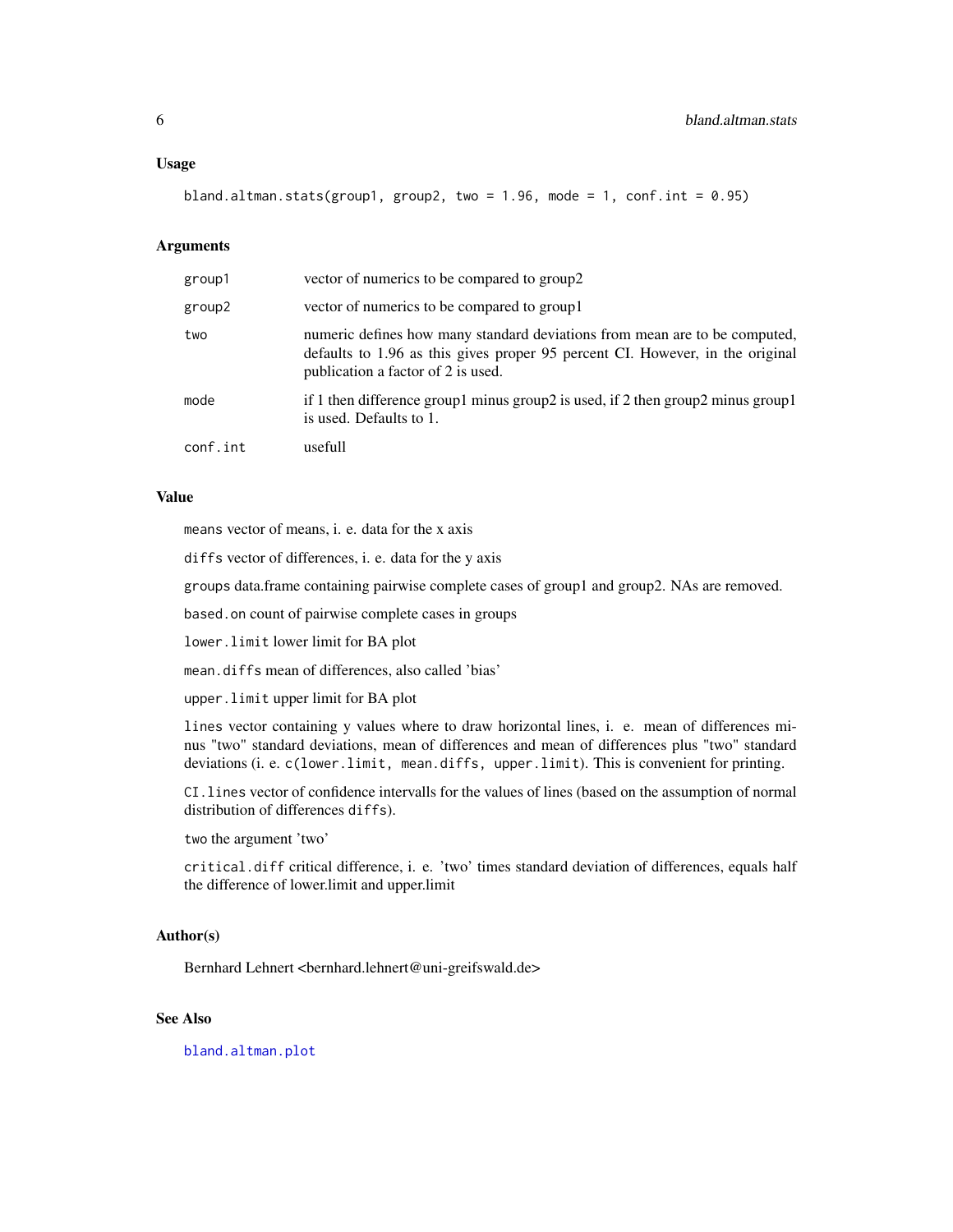#### <span id="page-5-0"></span>Usage

bland.altman.stats(group1, group2, two =  $1.96$ , mode =  $1$ , conf.int = 0.95)

#### **Arguments**

| group1   | vector of numerics to be compared to group2                                                                                                                                                       |
|----------|---------------------------------------------------------------------------------------------------------------------------------------------------------------------------------------------------|
| group2   | vector of numerics to be compared to group 1                                                                                                                                                      |
| two      | numeric defines how many standard deviations from mean are to be computed,<br>defaults to 1.96 as this gives proper 95 percent CI. However, in the original<br>publication a factor of 2 is used. |
| mode     | if 1 then difference group1 minus group2 is used, if 2 then group2 minus group1<br>is used. Defaults to 1.                                                                                        |
| conf.int | usefull                                                                                                                                                                                           |

# Value

means vector of means, i. e. data for the x axis

diffs vector of differences, i. e. data for the y axis

groups data.frame containing pairwise complete cases of group1 and group2. NAs are removed.

based.on count of pairwise complete cases in groups

lower.limit lower limit for BA plot

mean.diffs mean of differences, also called 'bias'

upper.limit upper limit for BA plot

lines vector containing y values where to draw horizontal lines, i. e. mean of differences minus "two" standard deviations, mean of differences and mean of differences plus "two" standard deviations (i. e. c(lower.limit, mean.diffs, upper.limit). This is convenient for printing.

CI.lines vector of confidence intervalls for the values of lines (based on the assumption of normal distribution of differences diffs).

two the argument 'two'

critical.diff critical difference, i. e. 'two' times standard deviation of differences, equals half the difference of lower.limit and upper.limit

#### Author(s)

Bernhard Lehnert <bernhard.lehnert@uni-greifswald.de>

# See Also

[bland.altman.plot](#page-3-1)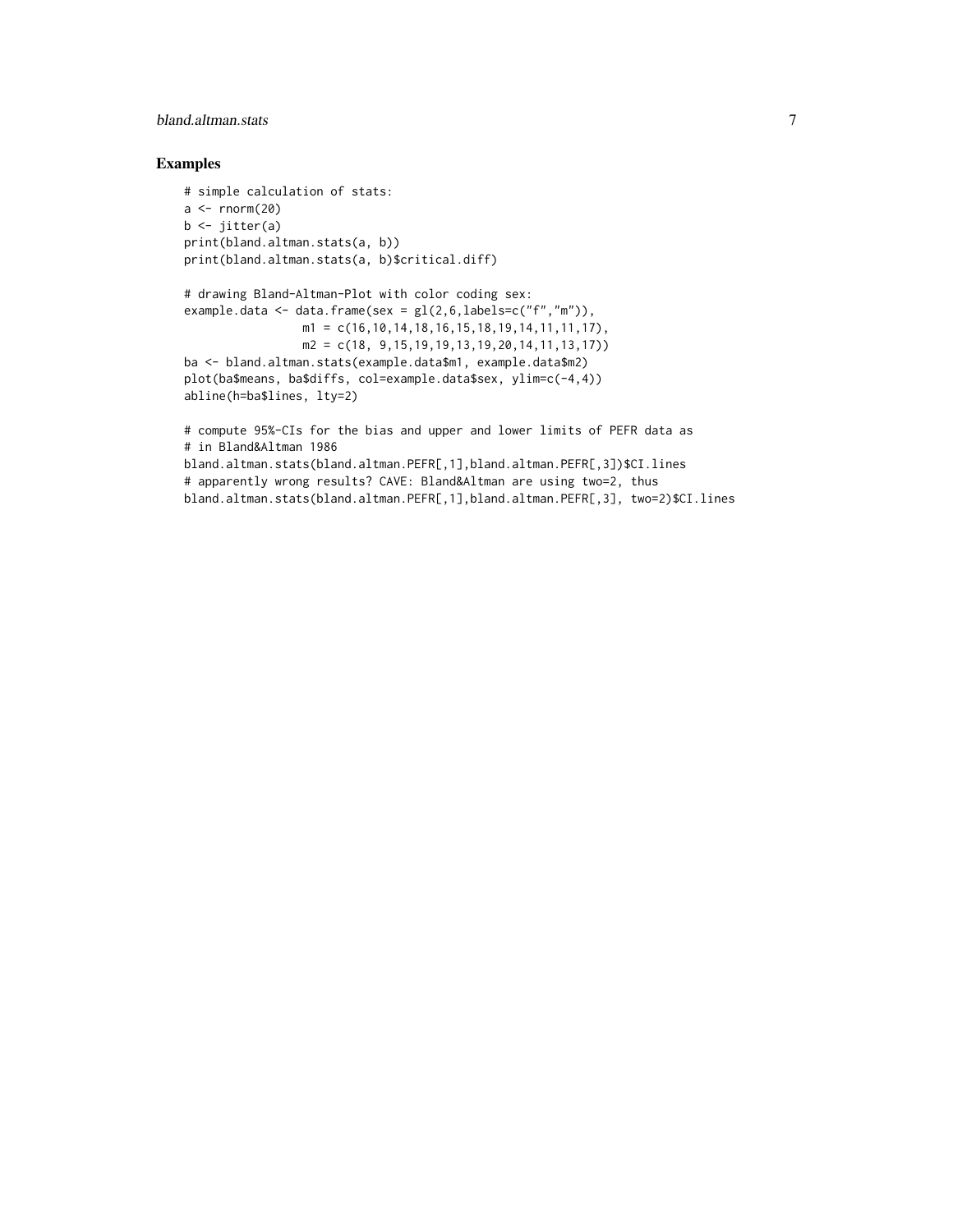# bland.altman.stats 7

# Examples

```
# simple calculation of stats:
a \leftarrow \text{norm}(20)b \leftarrow jitter(a)
print(bland.altman.stats(a, b))
print(bland.altman.stats(a, b)$critical.diff)
# drawing Bland-Altman-Plot with color coding sex:
example.data \leq data.frame(sex = gl(2,6,1abels=c("f", "m")),
                  ml = c(16, 10, 14, 18, 16, 15, 18, 19, 14, 11, 11, 17),
                  m2 = c(18, 9, 15, 19, 19, 13, 19, 20, 14, 11, 13, 17))ba <- bland.altman.stats(example.data$m1, example.data$m2)
plot(ba$means, ba$diffs, col=example.data$sex, ylim=c(-4,4))
abline(h=ba$lines, lty=2)
# compute 95%-CIs for the bias and upper and lower limits of PEFR data as
# in Bland&Altman 1986
bland.altman.stats(bland.altman.PEFR[,1],bland.altman.PEFR[,3])$CI.lines
```
# apparently wrong results? CAVE: Bland&Altman are using two=2, thus

bland.altman.stats(bland.altman.PEFR[,1],bland.altman.PEFR[,3], two=2)\$CI.lines